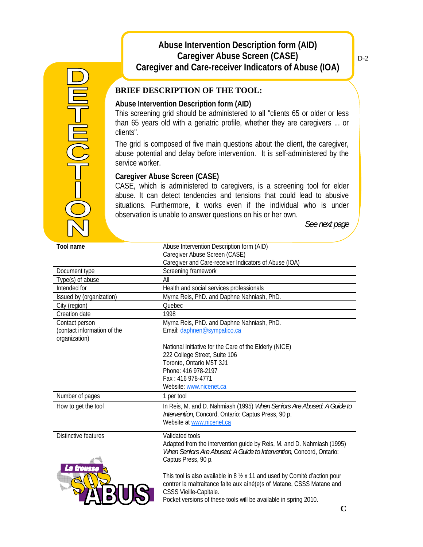## **Abuse Intervention Description form (AID) Caregiver Abuse Screen (CASE) Caregiver and Care-receiver Indicators of Abuse (IOA)**

# **BRIEF DESCRIPTION OF THE TOOL:**

### **Abuse Intervention Description form (AID)**

This screening grid should be administered to all "clients 65 or older or less than 65 years old with a geriatric profile, whether they are caregivers ... or clients".

The grid is composed of five main questions about the client, the caregiver, abuse potential and delay before intervention. It is self-administered by the service worker.

## **Caregiver Abuse Screen (CASE)**

CASE, which is administered to caregivers, is a screening tool for elder abuse. It can detect tendencies and tensions that could lead to abusive situations. Furthermore, it works even if the individual who is under observation is unable to answer questions on his or her own.

*See next page* 

| Tool name                   | Abuse Intervention Description form (AID)                                  |
|-----------------------------|----------------------------------------------------------------------------|
|                             | Caregiver Abuse Screen (CASE)                                              |
|                             | Caregiver and Care-receiver Indicators of Abuse (IOA)                      |
| Document type               | Screening framework                                                        |
| Type(s) of abuse            | All                                                                        |
| Intended for                | Health and social services professionals                                   |
| Issued by (organization)    | Myrna Reis, PhD. and Daphne Nahniash, PhD.                                 |
| City (region)               | Quebec                                                                     |
| Creation date               | 1998                                                                       |
| Contact person              | Myrna Reis, PhD. and Daphne Nahniash, PhD.                                 |
| (contact information of the | Email: daphnen@sympatico.ca                                                |
| organization)               |                                                                            |
|                             | National Initiative for the Care of the Elderly (NICE)                     |
|                             | 222 College Street, Suite 106                                              |
|                             | Toronto, Ontario M5T 3J1                                                   |
|                             | Phone: 416 978-2197                                                        |
|                             | Fax: 416 978-4771                                                          |
|                             | Website: www.nicenet.ca                                                    |
| Number of pages             | 1 per tool                                                                 |
| How to get the tool         | In Reis, M. and D. Nahmiash (1995) When Seniors Are Abused: A Guide to     |
|                             | Intervention, Concord, Ontario: Captus Press, 90 p.                        |
|                             | Website at www.nicenet.ca                                                  |
| Distinctive features        | Validated tools                                                            |
|                             | Adapted from the intervention guide by Reis, M. and D. Nahmiash (1995)     |
|                             | When Seniors Are Abused: A Guide to Intervention, Concord, Ontario:        |
|                             | Captus Press, 90 p.                                                        |
| La trousse                  |                                                                            |
|                             | This tool is also available in 8 1/2 x 11 and used by Comité d'action pour |
|                             | contrer la maltraitance faite aux aîné(e)s of Matane, CSSS Matane and      |
|                             | CSSS Vieille-Capitale.                                                     |
|                             | Pocket versions of these tools will be available in spring 2010.           |
|                             | ⌒                                                                          |